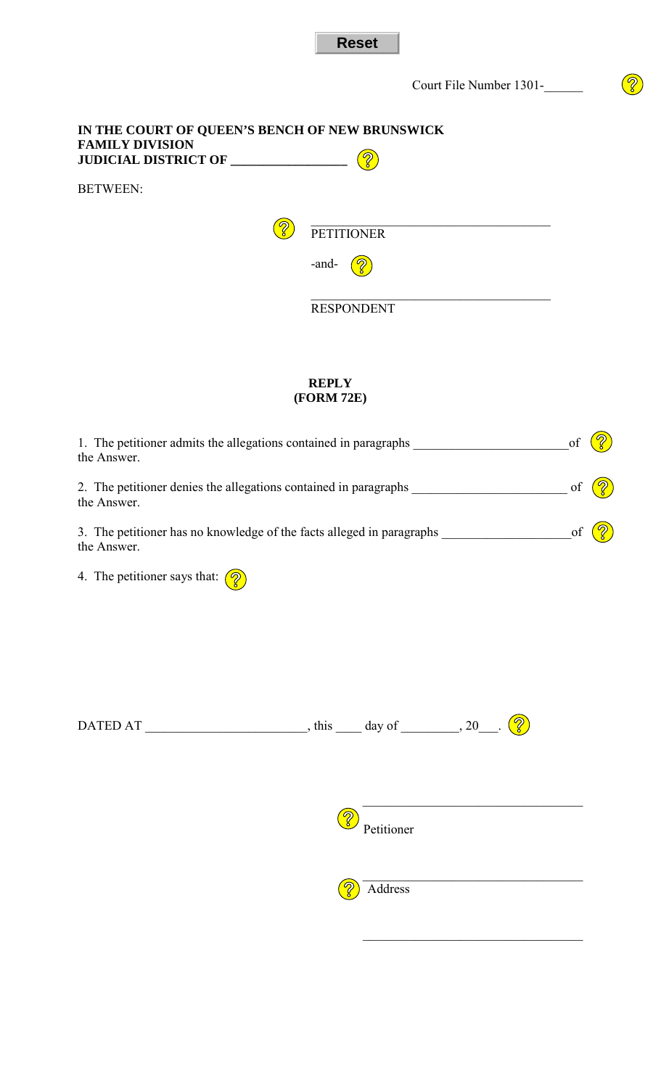|                                                                          |                   | Court File Number 1301- | $\delta$ |
|--------------------------------------------------------------------------|-------------------|-------------------------|----------|
| IN THE COURT OF QUEEN'S BENCH OF NEW BRUNSWICK<br><b>FAMILY DIVISION</b> |                   |                         |          |
| <b>BETWEEN:</b>                                                          |                   |                         |          |
|                                                                          | <b>PETITIONER</b> |                         |          |
|                                                                          | -and-             |                         |          |
|                                                                          | <b>RESPONDENT</b> |                         |          |

**Reset** 

## **REPLY (FORM 72E)**

| 1. The petitioner admits the allegations contained in paragraphs ________________<br>the Answer. |  |  |  |
|--------------------------------------------------------------------------------------------------|--|--|--|
| the Answer.                                                                                      |  |  |  |
| 3. The petitioner has no knowledge of the facts alleged in paragraphs<br>the Answer.             |  |  |  |
| 4. The petitioner says that: $\left(\sqrt{2}\right)$                                             |  |  |  |
|                                                                                                  |  |  |  |
|                                                                                                  |  |  |  |
|                                                                                                  |  |  |  |
| Petitioner                                                                                       |  |  |  |
| Address                                                                                          |  |  |  |
|                                                                                                  |  |  |  |